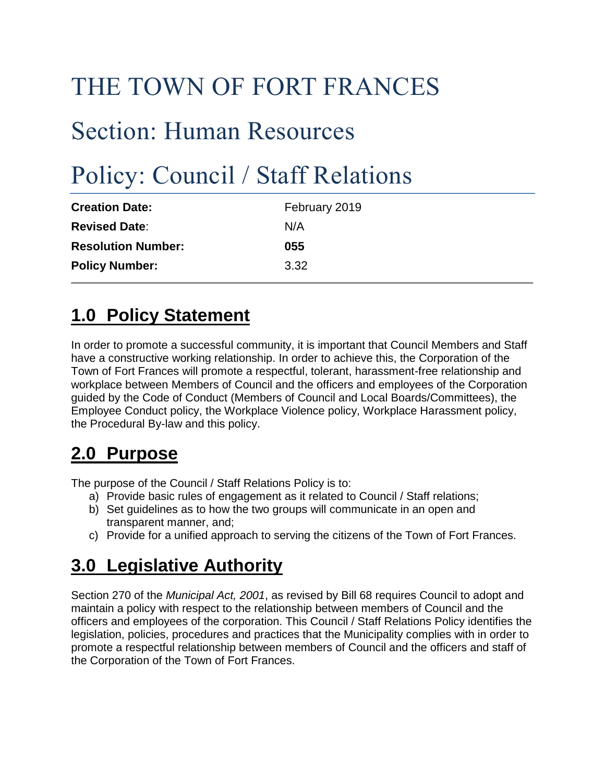# THE TOWN OF FORT FRANCES

## Section: Human Resources

# Policy: Council / Staff Relations

| February 2019 |
|---------------|
| N/A           |
| 055           |
| 3.32          |
|               |

### **1.0 Policy Statement**

In order to promote a successful community, it is important that Council Members and Staff have a constructive working relationship. In order to achieve this, the Corporation of the Town of Fort Frances will promote a respectful, tolerant, harassment-free relationship and workplace between Members of Council and the officers and employees of the Corporation guided by the Code of Conduct (Members of Council and Local Boards/Committees), the Employee Conduct policy, the Workplace Violence policy, Workplace Harassment policy, the Procedural By-law and this policy.

#### **2.0 Purpose**

The purpose of the Council / Staff Relations Policy is to:

- a) Provide basic rules of engagement as it related to Council / Staff relations;
- b) Set guidelines as to how the two groups will communicate in an open and transparent manner, and;
- c) Provide for a unified approach to serving the citizens of the Town of Fort Frances.

#### **3.0 Legislative Authority**

Section 270 of the *Municipal Act, 2001*, as revised by Bill 68 requires Council to adopt and maintain a policy with respect to the relationship between members of Council and the officers and employees of the corporation. This Council / Staff Relations Policy identifies the legislation, policies, procedures and practices that the Municipality complies with in order to promote a respectful relationship between members of Council and the officers and staff of the Corporation of the Town of Fort Frances.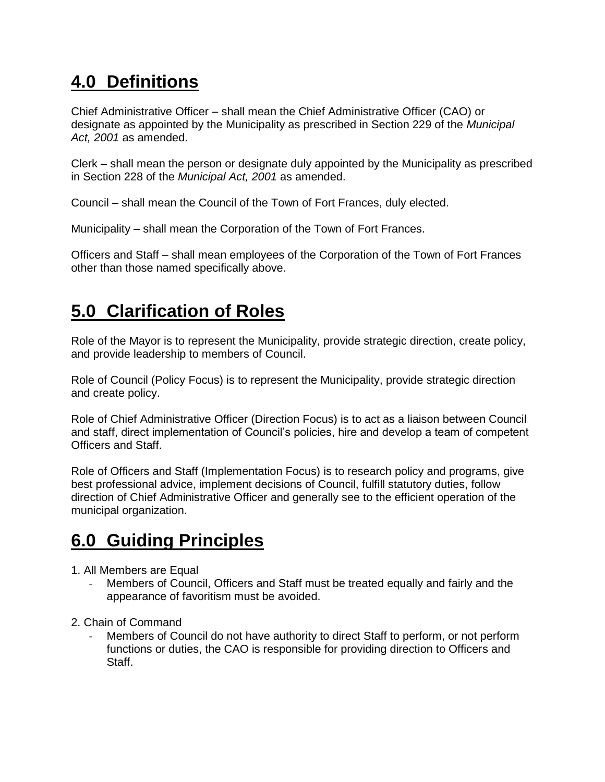#### **4.0 Definitions**

Chief Administrative Officer – shall mean the Chief Administrative Officer (CAO) or designate as appointed by the Municipality as prescribed in Section 229 of the *Municipal Act, 2001* as amended.

Clerk – shall mean the person or designate duly appointed by the Municipality as prescribed in Section 228 of the *Municipal Act, 2001* as amended.

Council – shall mean the Council of the Town of Fort Frances, duly elected.

Municipality – shall mean the Corporation of the Town of Fort Frances.

Officers and Staff – shall mean employees of the Corporation of the Town of Fort Frances other than those named specifically above.

### **5.0 Clarification of Roles**

Role of the Mayor is to represent the Municipality, provide strategic direction, create policy, and provide leadership to members of Council.

Role of Council (Policy Focus) is to represent the Municipality, provide strategic direction and create policy.

Role of Chief Administrative Officer (Direction Focus) is to act as a liaison between Council and staff, direct implementation of Council's policies, hire and develop a team of competent Officers and Staff.

Role of Officers and Staff (Implementation Focus) is to research policy and programs, give best professional advice, implement decisions of Council, fulfill statutory duties, follow direction of Chief Administrative Officer and generally see to the efficient operation of the municipal organization.

#### **6.0 Guiding Principles**

- 1. All Members are Equal
	- Members of Council, Officers and Staff must be treated equally and fairly and the appearance of favoritism must be avoided.
- 2. Chain of Command
	- Members of Council do not have authority to direct Staff to perform, or not perform functions or duties, the CAO is responsible for providing direction to Officers and Staff.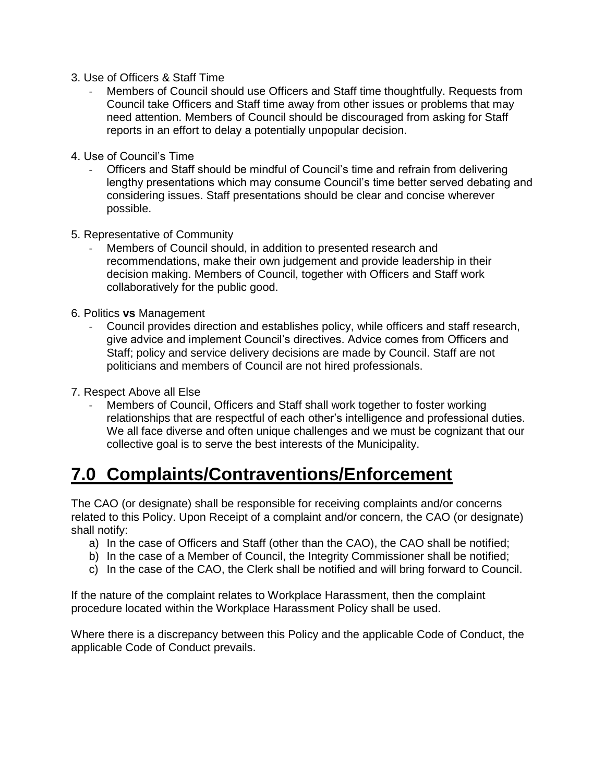- 3. Use of Officers & Staff Time
	- Members of Council should use Officers and Staff time thoughtfully. Requests from Council take Officers and Staff time away from other issues or problems that may need attention. Members of Council should be discouraged from asking for Staff reports in an effort to delay a potentially unpopular decision.
- 4. Use of Council's Time
	- Officers and Staff should be mindful of Council's time and refrain from delivering lengthy presentations which may consume Council's time better served debating and considering issues. Staff presentations should be clear and concise wherever possible.
- 5. Representative of Community
	- Members of Council should, in addition to presented research and recommendations, make their own judgement and provide leadership in their decision making. Members of Council, together with Officers and Staff work collaboratively for the public good.
- 6. Politics **vs** Management
	- Council provides direction and establishes policy, while officers and staff research, give advice and implement Council's directives. Advice comes from Officers and Staff; policy and service delivery decisions are made by Council. Staff are not politicians and members of Council are not hired professionals.
- 7. Respect Above all Else
	- Members of Council, Officers and Staff shall work together to foster working relationships that are respectful of each other's intelligence and professional duties. We all face diverse and often unique challenges and we must be cognizant that our collective goal is to serve the best interests of the Municipality.

#### **7.0 Complaints/Contraventions/Enforcement**

The CAO (or designate) shall be responsible for receiving complaints and/or concerns related to this Policy. Upon Receipt of a complaint and/or concern, the CAO (or designate) shall notify:

- a) In the case of Officers and Staff (other than the CAO), the CAO shall be notified;
- b) In the case of a Member of Council, the Integrity Commissioner shall be notified;
- c) In the case of the CAO, the Clerk shall be notified and will bring forward to Council.

If the nature of the complaint relates to Workplace Harassment, then the complaint procedure located within the Workplace Harassment Policy shall be used.

Where there is a discrepancy between this Policy and the applicable Code of Conduct, the applicable Code of Conduct prevails.